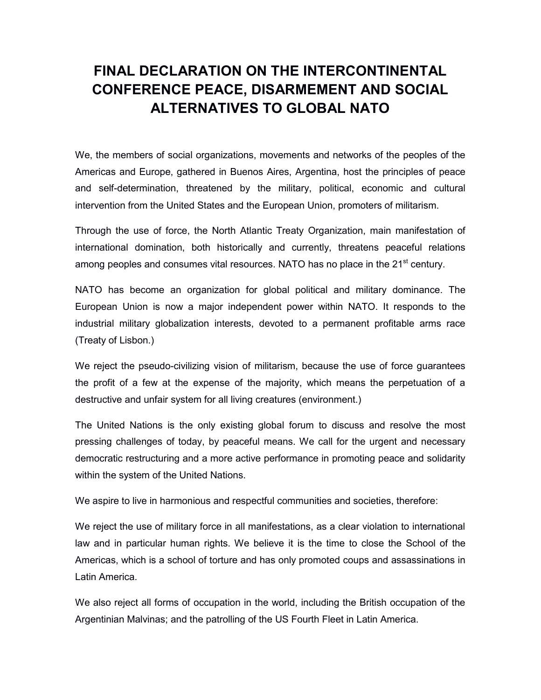## **FINAL DECLARATION ON THE INTERCONTINENTAL CONFERENCE PEACE, DISARMEMENT AND SOCIAL ALTERNATIVES TO GLOBAL NATO**

We, the members of social organizations, movements and networks of the peoples of the Americas and Europe, gathered in Buenos Aires, Argentina, host the principles of peace and self-determination, threatened by the military, political, economic and cultural intervention from the United States and the European Union, promoters of militarism.

Through the use of force, the North Atlantic Treaty Organization, main manifestation of international domination, both historically and currently, threatens peaceful relations among peoples and consumes vital resources. NATO has no place in the 21<sup>st</sup> century.

NATO has become an organization for global political and military dominance. The European Union is now a major independent power within NATO. It responds to the industrial military globalization interests, devoted to a permanent profitable arms race (Treaty of Lisbon.)

We reject the pseudo-civilizing vision of militarism, because the use of force guarantees the profit of a few at the expense of the majority, which means the perpetuation of a destructive and unfair system for all living creatures (environment.)

The United Nations is the only existing global forum to discuss and resolve the most pressing challenges of today, by peaceful means. We call for the urgent and necessary democratic restructuring and a more active performance in promoting peace and solidarity within the system of the United Nations.

We aspire to live in harmonious and respectful communities and societies, therefore:

We reject the use of military force in all manifestations, as a clear violation to international law and in particular human rights. We believe it is the time to close the School of the Americas, which is a school of torture and has only promoted coups and assassinations in Latin America.

We also reject all forms of occupation in the world, including the British occupation of the Argentinian Malvinas; and the patrolling of the US Fourth Fleet in Latin America.